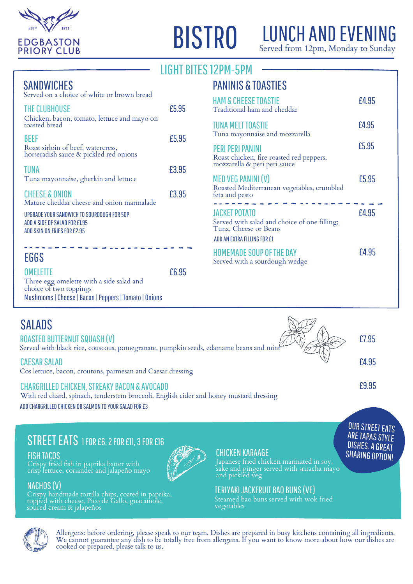

# **BISTRO**

# LUNCH AND EVENING

Served from 12pm, Monday to Sunday

# LIGHT BITES 12PM-5PM

### **SANDWICHES**

| Served on a choice of white or brown bread                                                                 |       |
|------------------------------------------------------------------------------------------------------------|-------|
| THE CLUBHOUSE<br>Chicken, bacon, tomato, lettuce and mayo on<br>toasted bread                              | £5.95 |
| BEEF<br>Roast sirloin of beef, watercress,<br>horseradish sauce & pickled red onions                       | £5.95 |
| TUNA<br>Tuna mayonnaise, gherkin and lettuce                                                               | £3.95 |
| <b>CHEESE &amp; ONION</b><br>Mature cheddar cheese and onion marmalade                                     | £3.95 |
| UPGRADE YOUR SANDWICH TO SOURDOUGH FOR 5OP<br>ADD A SIDE OF SALAD FOR £1.95<br>ADD SKIN ON FRIES FOR £2.95 |       |
|                                                                                                            |       |
| EGGS                                                                                                       |       |

#### OMELETTE Three egg omelette with a side salad and choice of two toppings Mushrooms|Cheese|Bacon|Peppers|Tomato| Onions £6.95

# PANINIS & TOASTIES

| <b>HAM &amp; CHEESE TOASTIE</b><br>Traditional ham and cheddar                                                               | £4.95 |
|------------------------------------------------------------------------------------------------------------------------------|-------|
| <b>TUNA MELT TOASTIE</b><br>Tuna mayonnaise and mozzarella                                                                   | £4.95 |
| PERI PERI PANINI<br>Roast chicken, fire roasted red peppers,<br>mozzarella & peri peri sauce                                 | £5.95 |
| MED VEG PANINI (V)<br>Roasted Mediterranean vegetables, crumbled<br>feta and pesto                                           | £5.95 |
| <b>JACKET POTATO</b><br>Served with salad and choice of one filling;<br>Tuna, Cheese or Beans<br>ADD AN EXTRA FILLING FOR £1 | £4.95 |
| <b>HOMEMADE SOUP OF THE DAY</b><br>Served with a sourdough wedge                                                             | £4.95 |

| <b>CAESAR SALAD</b><br>£4.95                                                                                                                                                                                         |  |
|----------------------------------------------------------------------------------------------------------------------------------------------------------------------------------------------------------------------|--|
| Cos lettuce, bacon, croutons, parmesan and Caesar dressing                                                                                                                                                           |  |
| £9.95<br><b>CHARGRILLED CHICKEN, STREAKY BACON &amp; AVOCADO</b><br>With red chard, spinach, tenderstem broccoli, English cider and honey mustard dressing<br>ADD CHARGRILLED CHICKEN OR SALMON TO YOUR SALAD FOR £3 |  |

# STREET EATS 1 FOR E6, 2 FOR E11, 3 FOR E16

FISH TACOS

Crispy fried fish in paprika batter with crisp lettuce, coriander and jalapeño mayo

### NACHOS(V)

Crispy handmade tortilla chips, coated in paprika, topped with cheese, Pico de Gallo, guacamole, soured cream & jalapeños

#### CHICKEN KARAAGE

Japanese fried chicken marinated in soy, sake and ginger served with sriracha mayo and pickled veg SHARING OPTION!

**OUR STREET EATS ARE TAPAS STYLE** DISHES. A GREAT

#### TERIYAKIJACKFRUITBAO BUNS(VE)

Steamed bao buns served with wok fried vegetables



Allergens: before ordering, please speak to our team. Dishes are prepared in busy kitchens containing all ingredients.<br>We cannot guarantee any dish to be totally free from allergens. If you want to know more about how our cooked or prepared, please talk to us.